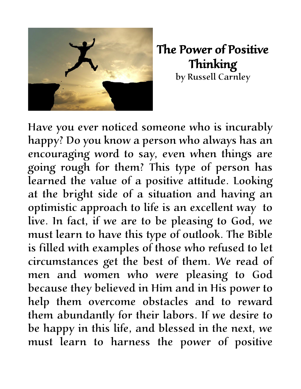

The Power of Positive Thinking by Russell Carnley

Have you ever noticed someone who is incurably happy? Do you know a person who always has an encouraging word to say, even when things are going rough for them? This type of person has learned the value of a positive attitude. Looking at the bright side of a situation and having an optimistic approach to life is an excellent way to live. In fact, if we are to be pleasing to God, we must learn to have this type of outlook. The Bible is filled with examples of those who refused to let circumstances get the best of them. We read of men and women who were pleasing to God because they believed in Him and in His power to help them overcome obstacles and to reward them abundantly for their labors. If we desire to be happy in this life, and blessed in the next, we must learn to harness the power of positive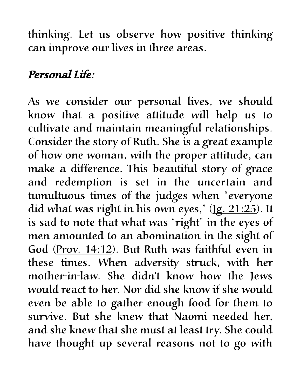thinking. Let us observe how positive thinking can improve our lives in three areas.

## Personal Life:

As we consider our personal lives, we should know that a positive attitude will help us to cultivate and maintain meaningful relationships. Consider the story of Ruth. She is a great example of how one woman, with the proper attitude, can make a difference. This beautiful story of grace and redemption is set in the uncertain and tumultuous times of the judges when "everyone did what was right in his own eyes," (1g. 21:25). It is sad to note that what was "right" in the eyes of men amounted to an abomination in the sight of God (Prov. 14:12). But Ruth was faithful even in these times. When adversity struck, with her mother-in-law. She didn't know how the Jews would react to her. Nor did she know if she would even be able to gather enough food for them to survive. But she knew that Naomi needed her, and she knew that she must at least try. She could have thought up several reasons not to go with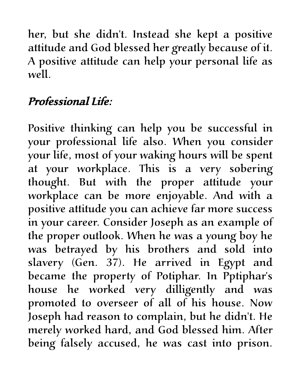her, but she didn't. Instead she kept a positive attitude and God blessed her greatly because of it. A positive attitude can help your personal life as well.

## Professional Life:

Positive thinking can help you be successful in your professional life also. When you consider your life, most of your waking hours will be spent at your workplace. This is a very sobering thought. But with the proper attitude your workplace can be more enjoyable. And with a positive attitude you can achieve far more success in your career. Consider Joseph as an example of the proper outlook. When he was a young boy he was betrayed by his brothers and sold into slavery (Gen. 37). He arrived in Egypt and became the property of Potiphar. In Pptiphar's house he worked very dilligently and was promoted to overseer of all of his house. Now Joseph had reason to complain, but he didn't. He merely worked hard, and God blessed him. After being falsely accused, he was cast into prison.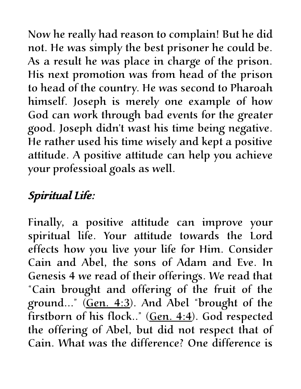Now he really had reason to complain! But he did not. He was simply the best prisoner he could be. As a result he was place in charge of the prison. His next promotion was from head of the prison to head of the country. He was second to Pharoah himself. Joseph is merely one example of how God can work through bad events for the greater good. Joseph didn't wast his time being negative. He rather used his time wisely and kept a positive attitude. A positive attitude can help you achieve your professioal goals as well.

## Spiritual Life:

Finally, a positive attitude can improve your spiritual life. Your attitude towards the Lord effects how you live your life for Him. Consider Cain and Abel, the sons of Adam and Eve. In Genesis 4 we read of their offerings. We read that "Cain brought and offering of the fruit of the ground..." (Gen. 4:3). And Abel "brought of the firstborn of his flock.." (Gen. 4:4). God respected the offering of Abel, but did not respect that of Cain. What was the difference? One difference is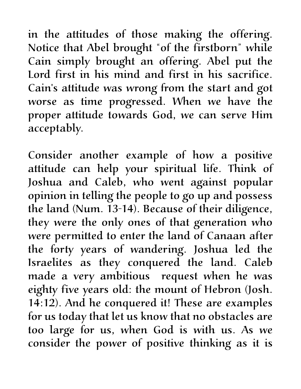in the attitudes of those making the offering. Notice that Abel brought "of the firstborn" while Cain simply brought an offering. Abel put the Lord first in his mind and first in his sacrifice. Cain's attitude was wrong from the start and got worse as time progressed. When we have the proper attitude towards God, we can serve Him acceptably.

Consider another example of how a positive attitude can help your spiritual life. Think of Joshua and Caleb, who went against popular opinion in telling the people to go up and possess the land (Num. 13-14). Because of their diligence, they were the only ones of that generation who were permitted to enter the land of Canaan after the forty years of wandering. Joshua led the Israelites as they conquered the land. Caleb made a very ambitious request when he was eighty five years old: the mount of Hebron (Josh. 14:12). And he conquered it! These are examples for us today that let us know that no obstacles are too large for us, when God is with us. As we consider the power of positive thinking as it is